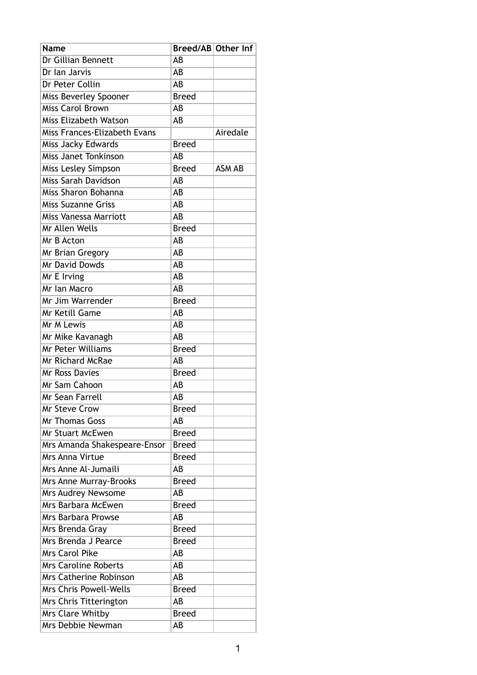| Name                          | Breed/AB Other Inf |               |
|-------------------------------|--------------------|---------------|
| Dr Gillian Bennett            | AB                 |               |
| Dr Ian Jarvis                 | AB                 |               |
| Dr Peter Collin               | AB                 |               |
| Miss Beverley Spooner         | <b>Breed</b>       |               |
| Miss Carol Brown              | AB                 |               |
| Miss Elizabeth Watson         | AB                 |               |
| Miss Frances-Elizabeth Evans  |                    | Airedale      |
| Miss Jacky Edwards            | <b>Breed</b>       |               |
| <b>Miss Janet Tonkinson</b>   | AB                 |               |
| Miss Lesley Simpson           | <b>Breed</b>       | <b>ASM AB</b> |
| Miss Sarah Davidson           | AΒ                 |               |
| Miss Sharon Bohanna           | AB                 |               |
| Miss Suzanne Griss            | AB                 |               |
| Miss Vanessa Marriott         | AB                 |               |
| Mr Allen Wells                | <b>Breed</b>       |               |
| Mr B Acton                    | AB                 |               |
| Mr Brian Gregory              | AB                 |               |
| Mr David Dowds                | AB                 |               |
| Mr E Irving                   | AB                 |               |
| Mr Ian Macro                  | AB                 |               |
| Mr Jim Warrender              | <b>Breed</b>       |               |
| Mr Ketill Game                | AB                 |               |
| Mr M Lewis                    | AB                 |               |
| Mr Mike Kavanagh              | AB                 |               |
| Mr Peter Williams             | <b>Breed</b>       |               |
| Mr Richard McRae              | AB                 |               |
| <b>Mr Ross Davies</b>         | <b>Breed</b>       |               |
| Mr Sam Cahoon                 | AB                 |               |
| Mr Sean Farrell               | AB                 |               |
| <b>Mr Steve Crow</b>          | <b>Breed</b>       |               |
| <b>Mr Thomas Goss</b>         | AB                 |               |
| Mr Stuart McEwen              | <b>Breed</b>       |               |
| Mrs Amanda Shakespeare-Ensor  | <b>Breed</b>       |               |
| Mrs Anna Virtue               | <b>Breed</b>       |               |
| Mrs Anne Al-Jumaili           | AB                 |               |
| Mrs Anne Murray-Brooks        | <b>Breed</b>       |               |
| Mrs Audrey Newsome            | AB                 |               |
| Mrs Barbara McEwen            | <b>Breed</b>       |               |
| Mrs Barbara Prowse            | AB                 |               |
| Mrs Brenda Gray               | <b>Breed</b>       |               |
| Mrs Brenda J Pearce           | <b>Breed</b>       |               |
| Mrs Carol Pike                | AB                 |               |
| <b>Mrs Caroline Roberts</b>   | AB                 |               |
| Mrs Catherine Robinson        | AB                 |               |
| <b>Mrs Chris Powell-Wells</b> | <b>Breed</b>       |               |
| Mrs Chris Titterington        | AB                 |               |
| Mrs Clare Whitby              | <b>Breed</b>       |               |
| Mrs Debbie Newman             | AB                 |               |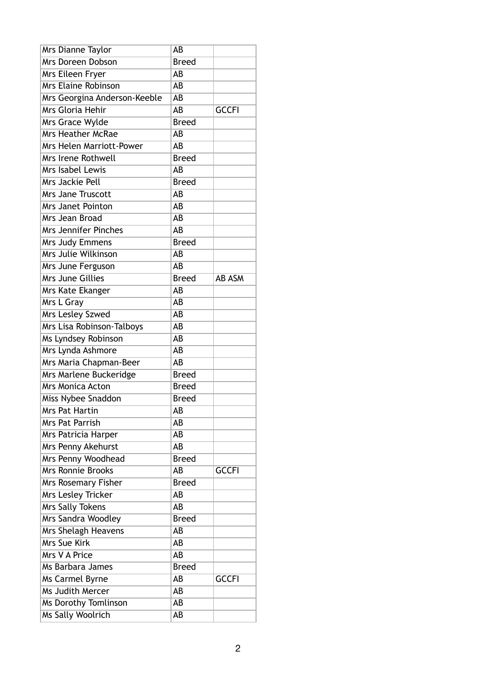| Mrs Dianne Taylor               | AB           |               |
|---------------------------------|--------------|---------------|
| Mrs Doreen Dobson               | <b>Breed</b> |               |
| Mrs Eileen Fryer                | AB           |               |
| <b>Mrs Elaine Robinson</b>      | AB           |               |
| Mrs Georgina Anderson-Keeble    | AB           |               |
| Mrs Gloria Hehir                | AB           | <b>GCCFI</b>  |
| Mrs Grace Wylde                 | <b>Breed</b> |               |
| <b>Mrs Heather McRae</b>        | AB           |               |
| <b>Mrs Helen Marriott-Power</b> | AB           |               |
| Mrs Irene Rothwell              | <b>Breed</b> |               |
| Mrs Isabel Lewis                | AB           |               |
| Mrs Jackie Pell                 | <b>Breed</b> |               |
| <b>Mrs Jane Truscott</b>        | AB           |               |
| Mrs Janet Pointon               | AB           |               |
| Mrs Jean Broad                  | AB           |               |
| <b>Mrs Jennifer Pinches</b>     | AB           |               |
| Mrs Judy Emmens                 | <b>Breed</b> |               |
| Mrs Julie Wilkinson             | AB           |               |
| Mrs June Ferguson               | AB           |               |
| Mrs June Gillies                | <b>Breed</b> | <b>AB ASM</b> |
| Mrs Kate Ekanger                | AB           |               |
| Mrs L Gray                      | AB           |               |
| Mrs Lesley Szwed                | AB           |               |
| Mrs Lisa Robinson-Talboys       | AB           |               |
| Ms Lyndsey Robinson             | AB           |               |
| Mrs Lynda Ashmore               | AB           |               |
| Mrs Maria Chapman-Beer          | AB           |               |
| Mrs Marlene Buckeridge          | <b>Breed</b> |               |
| Mrs Monica Acton                | <b>Breed</b> |               |
| Miss Nybee Snaddon              | <b>Breed</b> |               |
| <b>Mrs Pat Hartin</b>           | AB           |               |
| Mrs Pat Parrish                 | AB           |               |
| Mrs Patricia Harper             | AB           |               |
| Mrs Penny Akehurst              | AB           |               |
| Mrs Penny Woodhead              | <b>Breed</b> |               |
| <b>Mrs Ronnie Brooks</b>        | AB           | <b>GCCFI</b>  |
| Mrs Rosemary Fisher             | <b>Breed</b> |               |
| Mrs Lesley Tricker              | AB           |               |
| Mrs Sally Tokens                | AB           |               |
| Mrs Sandra Woodley              | <b>Breed</b> |               |
| Mrs Shelagh Heavens             | AB           |               |
| Mrs Sue Kirk                    | AB           |               |
| Mrs V A Price                   | AB           |               |
| Ms Barbara James                | <b>Breed</b> |               |
| Ms Carmel Byrne                 | AB           | <b>GCCFI</b>  |
| Ms Judith Mercer                | AB           |               |
| Ms Dorothy Tomlinson            | AB           |               |
| Ms Sally Woolrich               | AB           |               |
|                                 |              |               |